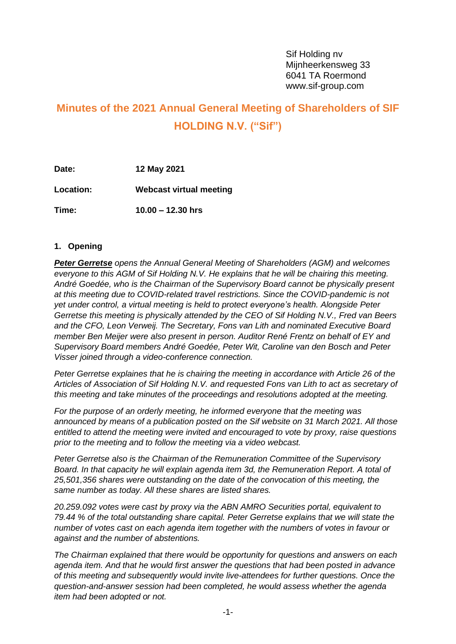# **Minutes of the 2021 Annual General Meeting of Shareholders of SIF HOLDING N.V. ("Sif")**

**Date: 12 May 2021 Location: Webcast virtual meeting Time: 10.00 – 12.30 hrs**

## **1. Opening**

*Peter Gerretse opens the Annual General Meeting of Shareholders (AGM) and welcomes everyone to this AGM of Sif Holding N.V. He explains that he will be chairing this meeting. André Goedée, who is the Chairman of the Supervisory Board cannot be physically present at this meeting due to COVID-related travel restrictions. Since the COVID-pandemic is not yet under control, a virtual meeting is held to protect everyone's health. Alongside Peter Gerretse this meeting is physically attended by the CEO of Sif Holding N.V., Fred van Beers and the CFO, Leon Verweij. The Secretary, Fons van Lith and nominated Executive Board member Ben Meijer were also present in person. Auditor René Frentz on behalf of EY and Supervisory Board members André Goedée, Peter Wit, Caroline van den Bosch and Peter Visser joined through a video-conference connection.*

*Peter Gerretse explaines that he is chairing the meeting in accordance with Article 26 of the Articles of Association of Sif Holding N.V. and requested Fons van Lith to act as secretary of this meeting and take minutes of the proceedings and resolutions adopted at the meeting.* 

*For the purpose of an orderly meeting, he informed everyone that the meeting was announced by means of a publication posted on the Sif website on 31 March 2021. All those entitled to attend the meeting were invited and encouraged to vote by proxy, raise questions prior to the meeting and to follow the meeting via a video webcast.* 

*Peter Gerretse also is the Chairman of the Remuneration Committee of the Supervisory Board. In that capacity he will explain agenda item 3d, the Remuneration Report. A total of 25,501,356 shares were outstanding on the date of the convocation of this meeting, the same number as today. All these shares are listed shares.*

*20.259.092 votes were cast by proxy via the ABN AMRO Securities portal, equivalent to 79.44 % of the total outstanding share capital. Peter Gerretse explains that we will state the number of votes cast on each agenda item together with the numbers of votes in favour or against and the number of abstentions.*

*The Chairman explained that there would be opportunity for questions and answers on each agenda item. And that he would first answer the questions that had been posted in advance of this meeting and subsequently would invite live-attendees for further questions. Once the question-and-answer session had been completed, he would assess whether the agenda item had been adopted or not.*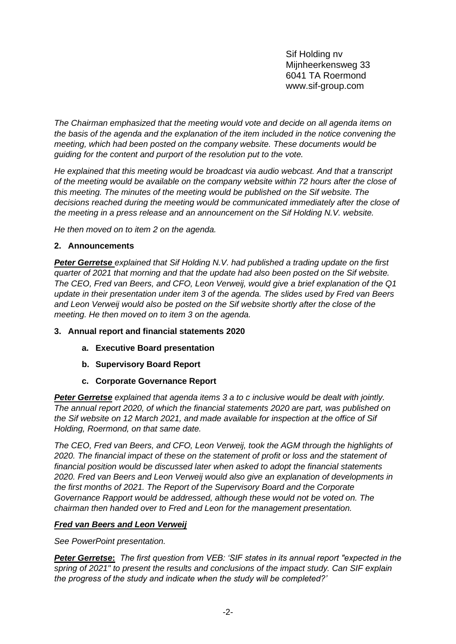*The Chairman emphasized that the meeting would vote and decide on all agenda items on the basis of the agenda and the explanation of the item included in the notice convening the meeting, which had been posted on the company website. These documents would be guiding for the content and purport of the resolution put to the vote.*

*He explained that this meeting would be broadcast via audio webcast. And that a transcript of the meeting would be available on the company website within 72 hours after the close of this meeting. The minutes of the meeting would be published on the Sif website. The decisions reached during the meeting would be communicated immediately after the close of the meeting in a press release and an announcement on the Sif Holding N.V. website.*

*He then moved on to item 2 on the agenda.*

# **2. Announcements**

*Peter Gerretse explained that Sif Holding N.V. had published a trading update on the first quarter of 2021 that morning and that the update had also been posted on the Sif website. The CEO, Fred van Beers, and CFO, Leon Verweij, would give a brief explanation of the Q1 update in their presentation under item 3 of the agenda. The slides used by Fred van Beers and Leon Verweij would also be posted on the Sif website shortly after the close of the meeting. He then moved on to item 3 on the agenda.*

# **3. Annual report and financial statements 2020**

- **a. Executive Board presentation**
- **b. Supervisory Board Report**
- **c. Corporate Governance Report**

*Peter Gerretse explained that agenda items 3 a to c inclusive would be dealt with jointly. The annual report 2020, of which the financial statements 2020 are part, was published on the Sif website on 12 March 2021, and made available for inspection at the office of Sif Holding, Roermond, on that same date.*

*The CEO, Fred van Beers, and CFO, Leon Verweij, took the AGM through the highlights of 2020. The financial impact of these on the statement of profit or loss and the statement of financial position would be discussed later when asked to adopt the financial statements 2020. Fred van Beers and Leon Verweij would also give an explanation of developments in the first months of 2021. The Report of the Supervisory Board and the Corporate Governance Rapport would be addressed, although these would not be voted on. The chairman then handed over to Fred and Leon for the management presentation.*

# *Fred van Beers and Leon Verweij*

*See PowerPoint presentation.* 

*Peter Gerretse***:** *The first question from VEB: 'SIF states in its annual report "expected in the spring of 2021" to present the results and conclusions of the impact study. Can SIF explain the progress of the study and indicate when the study will be completed?'*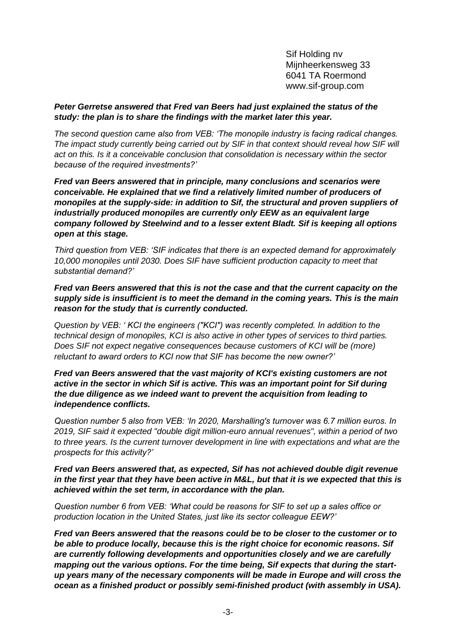## *Peter Gerretse answered that Fred van Beers had just explained the status of the study: the plan is to share the findings with the market later this year.*

*The second question came also from VEB: 'The monopile industry is facing radical changes. The impact study currently being carried out by SIF in that context should reveal how SIF will act on this. Is it a conceivable conclusion that consolidation is necessary within the sector because of the required investments?'*

*Fred van Beers answered that in principle, many conclusions and scenarios were conceivable. He explained that we find a relatively limited number of producers of monopiles at the supply-side: in addition to Sif, the structural and proven suppliers of industrially produced monopiles are currently only EEW as an equivalent large company followed by Steelwind and to a lesser extent Bladt. Sif is keeping all options open at this stage.*

*Third question from VEB: 'SIF indicates that there is an expected demand for approximately 10,000 monopiles until 2030. Does SIF have sufficient production capacity to meet that substantial demand?'*

*Fred van Beers answered that this is not the case and that the current capacity on the supply side is insufficient is to meet the demand in the coming years. This is the main reason for the study that is currently conducted.*

*Question by VEB: ' KCI the engineers ("KCI") was recently completed. In addition to the technical design of monopiles, KCI is also active in other types of services to third parties. Does SIF not expect negative consequences because customers of KCI will be (more) reluctant to award orders to KCI now that SIF has become the new owner?'*

*Fred van Beers answered that the vast majority of KCI's existing customers are not active in the sector in which Sif is active. This was an important point for Sif during the due diligence as we indeed want to prevent the acquisition from leading to independence conflicts.*

*Question number 5 also from VEB: 'In 2020, Marshalling's turnover was 6.7 million euros. In 2019, SIF said it expected "double digit million-euro annual revenues", within a period of two to three years. Is the current turnover development in line with expectations and what are the prospects for this activity?'*

#### *Fred van Beers answered that, as expected, Sif has not achieved double digit revenue in the first year that they have been active in M&L, but that it is we expected that this is achieved within the set term, in accordance with the plan.*

*Question number 6 from VEB: 'What could be reasons for SIF to set up a sales office or production location in the United States, just like its sector colleague EEW?'*

*Fred van Beers answered that the reasons could be to be closer to the customer or to be able to produce locally, because this is the right choice for economic reasons. Sif are currently following developments and opportunities closely and we are carefully mapping out the various options. For the time being, Sif expects that during the startup years many of the necessary components will be made in Europe and will cross the ocean as a finished product or possibly semi-finished product (with assembly in USA).*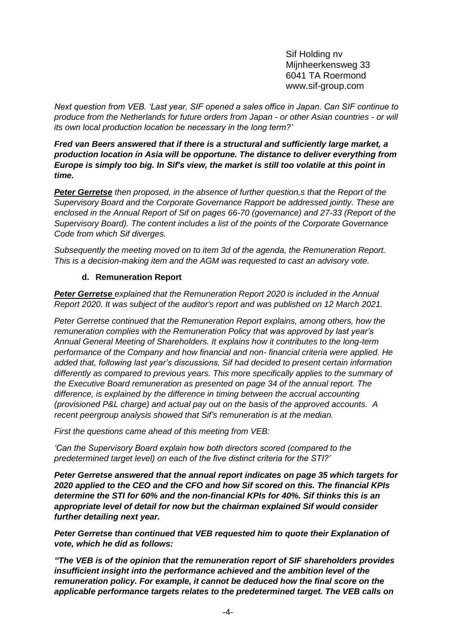*Next question from VEB. 'Last year, SIF opened a sales office in Japan. Can SIF continue to produce from the Netherlands for future orders from Japan - or other Asian countries - or will its own local production location be necessary in the long term?'*

*Fred van Beers answered that if there is a structural and sufficiently large market, a production location in Asia will be opportune. The distance to deliver everything from Europe is simply too big. In Sif's view, the market is still too volatile at this point in time.*

*Peter Gerretse then proposed, in the absence of further question,s that the Report of the Supervisory Board and the Corporate Governance Rapport be addressed jointly. These are enclosed in the Annual Report of Sif on pages 66-70 (governance) and 27-33 (Report of the Supervisory Board). The content includes a list of the points of the Corporate Governance Code from which Sif diverges.* 

*Subsequently the meeting moved on to item 3d of the agenda, the Remuneration Report. This is a decision-making item and the AGM was requested to cast an advisory vote.* 

# **d. Remuneration Report**

*Peter Gerretse explained that the Remuneration Report 2020 is included in the Annual Report 2020. It was subject of the auditor's report and was published on 12 March 2021.* 

*Peter Gerretse continued that the Remuneration Report explains, among others, how the remuneration complies with the Remuneration Policy that was approved by last year's Annual General Meeting of Shareholders. It explains how it contributes to the long-term performance of the Company and how financial and non- financial criteria were applied. He added that, following last year's discussions, Sif had decided to present certain information differently as compared to previous years. This more specifically applies to the summary of the Executive Board remuneration as presented on page 34 of the annual report. The difference, is explained by the difference in timing between the accrual accounting (provisioned P&L charge) and actual pay out on the basis of the approved accounts. A recent peergroup analysis showed that Sif's remuneration is at the median.*

*First the questions came ahead of this meeting from VEB:* 

*'Can the Supervisory Board explain how both directors scored (compared to the predetermined target level) on each of the five distinct criteria for the STI?'*

*Peter Gerretse answered that the annual report indicates on page 35 which targets for 2020 applied to the CEO and the CFO and how Sif scored on this. The financial KPIs determine the STI for 60% and the non-financial KPIs for 40%. Sif thinks this is an appropriate level of detail for now but the chairman explained Sif would consider further detailing next year.*

*Peter Gerretse than continued that VEB requested him to quote their Explanation of vote, which he did as follows:*

*"The VEB is of the opinion that the remuneration report of SIF shareholders provides insufficient insight into the performance achieved and the ambition level of the remuneration policy. For example, it cannot be deduced how the final score on the applicable performance targets relates to the predetermined target. The VEB calls on*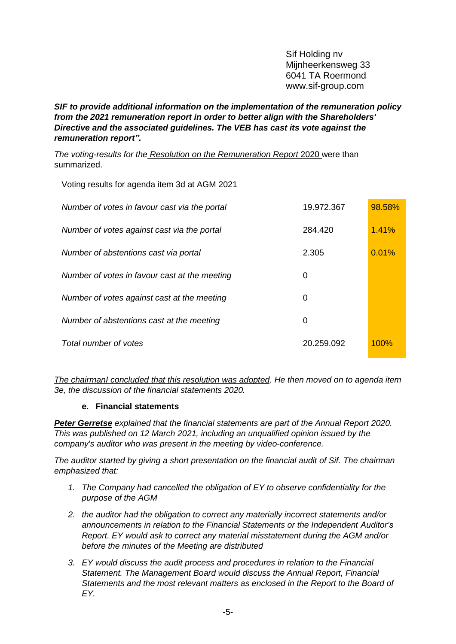*SIF to provide additional information on the implementation of the remuneration policy from the 2021 remuneration report in order to better align with the Shareholders' Directive and the associated guidelines. The VEB has cast its vote against the remuneration report".*

*The voting-results for the Resolution on the Remuneration Report* 2020 were than summarized.

|  | Voting results for agenda item 3d at AGM 2021 |  |  |  |
|--|-----------------------------------------------|--|--|--|
|  |                                               |  |  |  |

| Number of votes in favour cast via the portal | 19.972.367 | 98.58% |
|-----------------------------------------------|------------|--------|
| Number of votes against cast via the portal   | 284,420    | 1.41%  |
| Number of abstentions cast via portal         | 2.305      | 0.01%  |
| Number of votes in favour cast at the meeting | 0          |        |
| Number of votes against cast at the meeting   | 0          |        |
| Number of abstentions cast at the meeting     | 0          |        |
| Total number of votes                         | 20.259.092 | 100%   |

*The chairmanI concluded that this resolution was adopted. He then moved on to agenda item 3e, the discussion of the financial statements 2020.*

## **e. Financial statements**

*Peter Gerretse explained that the financial statements are part of the Annual Report 2020. This was published on 12 March 2021, including an unqualified opinion issued by the company's auditor who was present in the meeting by video-conference.*

*The auditor started by giving a short presentation on the financial audit of Sif. The chairman emphasized that:* 

- *1. The Company had cancelled the obligation of EY to observe confidentiality for the purpose of the AGM*
- *2. the auditor had the obligation to correct any materially incorrect statements and/or announcements in relation to the Financial Statements or the Independent Auditor's Report. EY would ask to correct any material misstatement during the AGM and/or before the minutes of the Meeting are distributed*
- *3. EY would discuss the audit process and procedures in relation to the Financial Statement. The Management Board would discuss the Annual Report, Financial Statements and the most relevant matters as enclosed in the Report to the Board of EY.*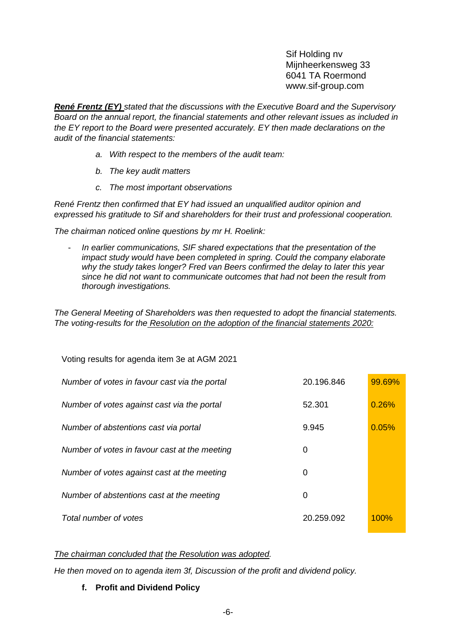*René Frentz (EY) stated that the discussions with the Executive Board and the Supervisory Board on the annual report, the financial statements and other relevant issues as included in the EY report to the Board were presented accurately. EY then made declarations on the audit of the financial statements:*

- *a. With respect to the members of the audit team:*
- *b. The key audit matters*
- *c. The most important observations*

*René Frentz then confirmed that EY had issued an unqualified auditor opinion and expressed his gratitude to Sif and shareholders for their trust and professional cooperation.*

*The chairman noticed online questions by mr H. Roelink:*

Voting results for agenda item 3e at AGM 2021

- *In earlier communications, SIF shared expectations that the presentation of the impact study would have been completed in spring. Could the company elaborate why the study takes longer? Fred van Beers confirmed the delay to later this year since he did not want to communicate outcomes that had not been the result from thorough investigations.* 

*The General Meeting of Shareholders was then requested to adopt the financial statements. The voting-results for the Resolution on the adoption of the financial statements 2020:*

| $\frac{1}{2}$ . The country for agoriaa from 50 at 7 form 202 i |            |        |
|-----------------------------------------------------------------|------------|--------|
| Number of votes in favour cast via the portal                   | 20.196.846 | 99.69% |
| Number of votes against cast via the portal                     | 52.301     | 0.26%  |
| Number of abstentions cast via portal                           | 9.945      | 0.05%  |
| Number of votes in favour cast at the meeting                   | 0          |        |
| Number of votes against cast at the meeting                     | 0          |        |
| Number of abstentions cast at the meeting                       | 0          |        |
| Total number of votes                                           | 20.259.092 | 100%   |

#### *The chairman concluded that the Resolution was adopted.*

*He then moved on to agenda item 3f, Discussion of the profit and dividend policy.*

## **f. Profit and Dividend Policy**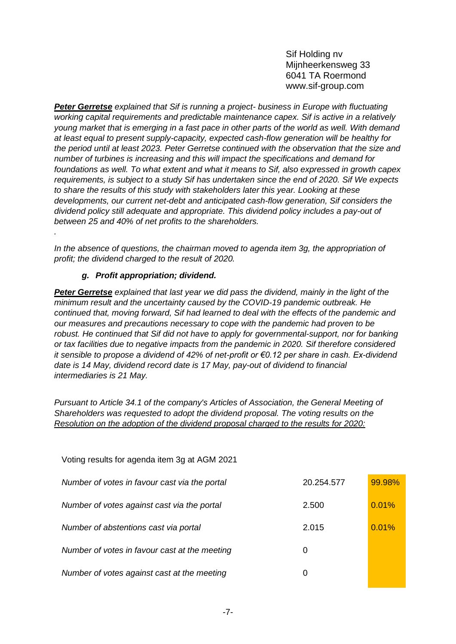*Peter Gerretse explained that Sif is running a project- business in Europe with fluctuating working capital requirements and predictable maintenance capex. Sif is active in a relatively young market that is emerging in a fast pace in other parts of the world as well. With demand at least equal to present supply-capacity, expected cash-flow generation will be healthy for the period until at least 2023. Peter Gerretse continued with the observation that the size and number of turbines is increasing and this will impact the specifications and demand for foundations as well. To what extent and what it means to Sif, also expressed in growth capex requirements, is subject to a study Sif has undertaken since the end of 2020. Sif We expects to share the results of this study with stakeholders later this year. Looking at these developments, our current net-debt and anticipated cash-flow generation, Sif considers the dividend policy still adequate and appropriate. This dividend policy includes a pay-out of between 25 and 40% of net profits to the shareholders.* 

*In the absence of questions, the chairman moved to agenda item 3g, the appropriation of profit; the dividend charged to the result of 2020.*

# *g. Profit appropriation; dividend.*

*.* 

*Peter Gerretse explained that last year we did pass the dividend, mainly in the light of the minimum result and the uncertainty caused by the COVID-19 pandemic outbreak. He continued that, moving forward, Sif had learned to deal with the effects of the pandemic and our measures and precautions necessary to cope with the pandemic had proven to be robust. He continued that Sif did not have to apply for governmental-support, nor for banking or tax facilities due to negative impacts from the pandemic in 2020. Sif therefore considered it sensible to propose a dividend of 42% of net-profit or €0.12 per share in cash. Ex-dividend date is 14 May, dividend record date is 17 May, pay-out of dividend to financial intermediaries is 21 May.* 

*Pursuant to Article 34.1 of the company's Articles of Association, the General Meeting of Shareholders was requested to adopt the dividend proposal. The voting results on the Resolution on the adoption of the dividend proposal charged to the results for 2020:*

| Voting results for agenda item 3g at AGM 2021 |            |        |
|-----------------------------------------------|------------|--------|
| Number of votes in favour cast via the portal | 20.254.577 | 99.98% |
| Number of votes against cast via the portal   | 2.500      | 0.01%  |
| Number of abstentions cast via portal         | 2.015      | 0.01%  |
| Number of votes in favour cast at the meeting | 0          |        |
| Number of votes against cast at the meeting   | 0          |        |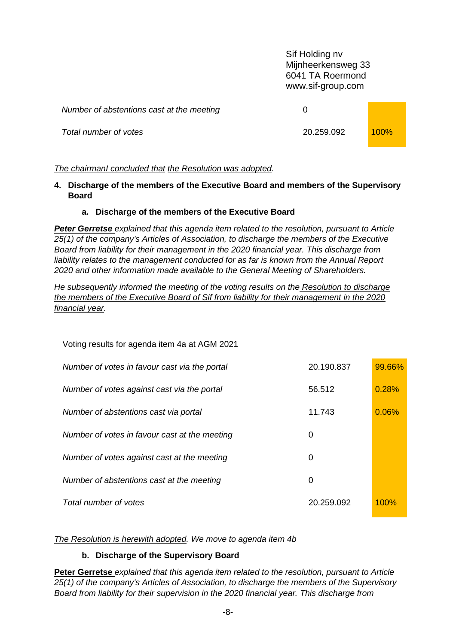| Number of abstentions cast at the meeting |            |             |
|-------------------------------------------|------------|-------------|
| Total number of votes                     | 20.259.092 | <b>100%</b> |

## *The chairmanI concluded that the Resolution was adopted.*

**4. Discharge of the members of the Executive Board and members of the Supervisory Board**

#### **a. Discharge of the members of the Executive Board**

*Peter Gerretse explained that this agenda item related to the resolution, pursuant to Article 25(1) of the company's Articles of Association, to discharge the members of the Executive Board from liability for their management in the 2020 financial year. This discharge from*  liability relates to the management conducted for as far is known from the Annual Report *2020 and other information made available to the General Meeting of Shareholders.* 

*He subsequently informed the meeting of the voting results on the Resolution to discharge the members of the Executive Board of Sif from liability for their management in the 2020 financial year.*

Voting results for agenda item 4a at AGM 2021

| Number of votes in favour cast via the portal | 20.190.837 | 99.66%  |
|-----------------------------------------------|------------|---------|
| Number of votes against cast via the portal   | 56.512     | 0.28%   |
| Number of abstentions cast via portal         | 11.743     | 0.06%   |
| Number of votes in favour cast at the meeting | 0          |         |
| Number of votes against cast at the meeting   | 0          |         |
| Number of abstentions cast at the meeting     | 0          |         |
| Total number of votes                         | 20.259.092 | $100\%$ |

*The Resolution is herewith adopted. We move to agenda item 4b*

## **b. Discharge of the Supervisory Board**

**Peter Gerretse** *explained that this agenda item related to the resolution, pursuant to Article 25(1) of the company's Articles of Association, to discharge the members of the Supervisory Board from liability for their supervision in the 2020 financial year. This discharge from*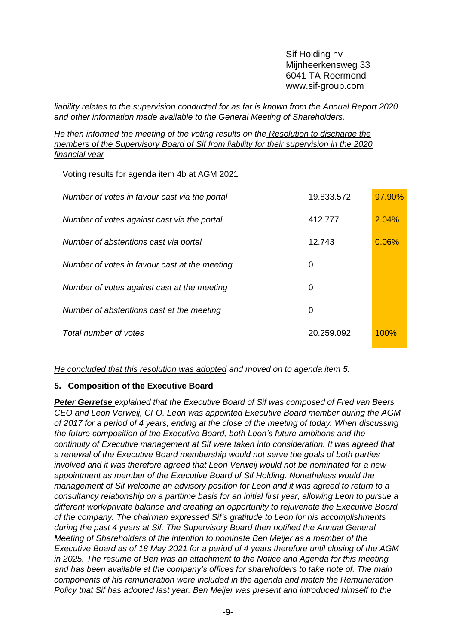*liability relates to the supervision conducted for as far is known from the Annual Report 2020 and other information made available to the General Meeting of Shareholders.* 

*He then informed the meeting of the voting results on the Resolution to discharge the members of the Supervisory Board of Sif from liability for their supervision in the 2020 financial year*

Voting results for agenda item 4b at AGM 2021

| Number of votes in favour cast via the portal | 19.833.572 | 97.90% |
|-----------------------------------------------|------------|--------|
| Number of votes against cast via the portal   | 412,777    | 2.04%  |
| Number of abstentions cast via portal         | 12.743     | 0.06%  |
| Number of votes in favour cast at the meeting | 0          |        |
| Number of votes against cast at the meeting   | 0          |        |
| Number of abstentions cast at the meeting     | 0          |        |
| Total number of votes                         | 20.259.092 | 100%   |

*He concluded that this resolution was adopted and moved on to agenda item 5.*

## **5. Composition of the Executive Board**

*Peter Gerretse explained that the Executive Board of Sif was composed of Fred van Beers, CEO and Leon Verweij, CFO. Leon was appointed Executive Board member during the AGM of 2017 for a period of 4 years, ending at the close of the meeting of today. When discussing the future composition of the Executive Board, both Leon's future ambitions and the continuity of Executive management at Sif were taken into consideration. It was agreed that a renewal of the Executive Board membership would not serve the goals of both parties involved and it was therefore agreed that Leon Verweij would not be nominated for a new appointment as member of the Executive Board of Sif Holding. Nonetheless would the management of Sif welcome an advisory position for Leon and it was agreed to return to a consultancy relationship on a parttime basis for an initial first year, allowing Leon to pursue a different work/private balance and creating an opportunity to rejuvenate the Executive Board of the company. The chairman expressed Sif's gratitude to Leon for his accomplishments during the past 4 years at Sif. The Supervisory Board then notified the Annual General Meeting of Shareholders of the intention to nominate Ben Meijer as a member of the Executive Board as of 18 May 2021 for a period of 4 years therefore until closing of the AGM in 2025. The resume of Ben was an attachment to the Notice and Agenda for this meeting and has been available at the company's offices for shareholders to take note of. The main components of his remuneration were included in the agenda and match the Remuneration Policy that Sif has adopted last year. Ben Meijer was present and introduced himself to the*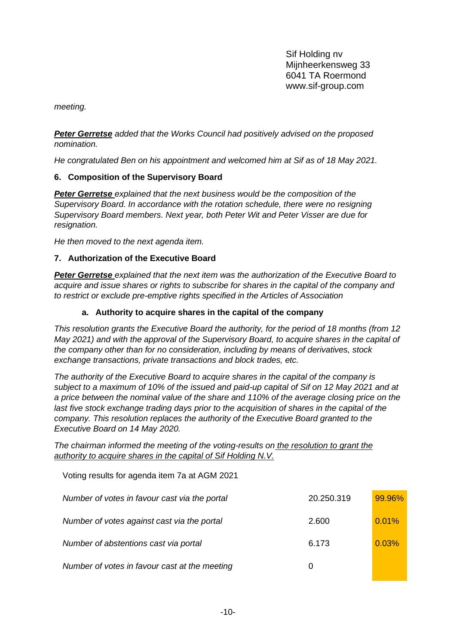*meeting.* 

*Peter Gerretse added that the Works Council had positively advised on the proposed nomination.*

*He congratulated Ben on his appointment and welcomed him at Sif as of 18 May 2021.*

# **6. Composition of the Supervisory Board**

*Peter Gerretse explained that the next business would be the composition of the Supervisory Board. In accordance with the rotation schedule, there were no resigning Supervisory Board members. Next year, both Peter Wit and Peter Visser are due for resignation.* 

*He then moved to the next agenda item.* 

## **7. Authorization of the Executive Board**

*Peter Gerretse explained that the next item was the authorization of the Executive Board to acquire and issue shares or rights to subscribe for shares in the capital of the company and to restrict or exclude pre-emptive rights specified in the Articles of Association*

# **a. Authority to acquire shares in the capital of the company**

*This resolution grants the Executive Board the authority, for the period of 18 months (from 12 May 2021) and with the approval of the Supervisory Board, to acquire shares in the capital of the company other than for no consideration, including by means of derivatives, stock exchange transactions, private transactions and block trades, etc.*

*The authority of the Executive Board to acquire shares in the capital of the company is subject to a maximum of 10% of the issued and paid-up capital of Sif on 12 May 2021 and at a price between the nominal value of the share and 110% of the average closing price on the*  last five stock exchange trading days prior to the acquisition of shares in the capital of the *company. This resolution replaces the authority of the Executive Board granted to the Executive Board on 14 May 2020.*

# *The chairman informed the meeting of the voting-results on the resolution to grant the authority to acquire shares in the capital of Sif Holding N.V.*

| Voting results for agenda item 7a at AGM 2021 |            |        |
|-----------------------------------------------|------------|--------|
| Number of votes in favour cast via the portal | 20.250.319 | 99.96% |
| Number of votes against cast via the portal   | 2.600      | 0.01%  |
| Number of abstentions cast via portal         | 6.173      | 0.03%  |
| Number of votes in favour cast at the meeting | 0          |        |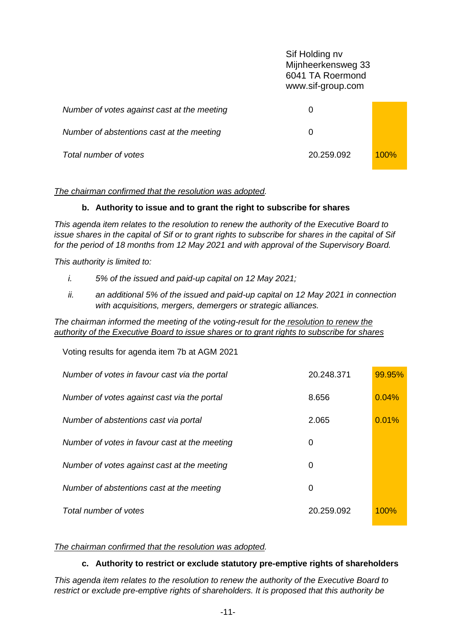Sif Holding nv Mijnheerkensweg 33 6041 TA Roermond www.sif-group.com *Number of votes against cast at the meeting* 0 *Number of abstentions cast at the meeting*  $\qquad 0$ *Total number of votes* 20.259.092 100%

# *The chairman confirmed that the resolution was adopted.*

# **b. Authority to issue and to grant the right to subscribe for shares**

*This agenda item relates to the resolution to renew the authority of the Executive Board to issue shares in the capital of Sif or to grant rights to subscribe for shares in the capital of Sif for the period of 18 months from 12 May 2021 and with approval of the Supervisory Board.* 

*This authority is limited to:*

- *i. 5% of the issued and paid-up capital on 12 May 2021;*
- *ii. an additional 5% of the issued and paid-up capital on 12 May 2021 in connection with acquisitions, mergers, demergers or strategic alliances.*

*The chairman informed the meeting of the voting-result for the resolution to renew the authority of the Executive Board to issue shares or to grant rights to subscribe for shares*

| Voting results for agenda item 7b at AGM 2021 |            |        |
|-----------------------------------------------|------------|--------|
| Number of votes in favour cast via the portal | 20.248.371 | 99.95% |
| Number of votes against cast via the portal   | 8.656      | 0.04%  |
| Number of abstentions cast via portal         | 2.065      | 0.01%  |
| Number of votes in favour cast at the meeting | 0          |        |
| Number of votes against cast at the meeting   | 0          |        |
| Number of abstentions cast at the meeting     | 0          |        |
| Total number of votes                         | 20.259.092 | 100%   |

# *The chairman confirmed that the resolution was adopted.*

# **c. Authority to restrict or exclude statutory pre-emptive rights of shareholders**

*This agenda item relates to the resolution to renew the authority of the Executive Board to restrict or exclude pre-emptive rights of shareholders. It is proposed that this authority be*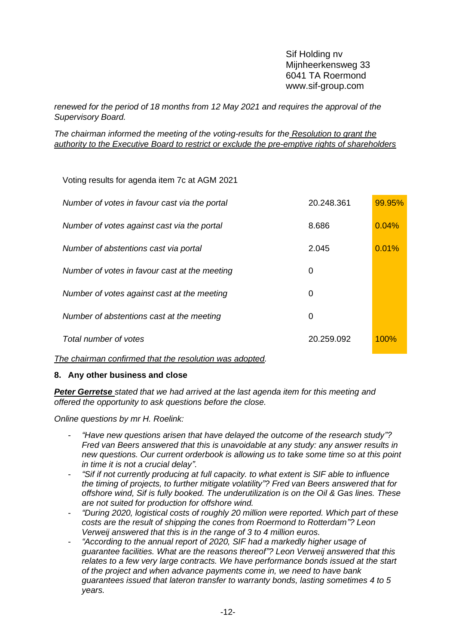*renewed for the period of 18 months from 12 May 2021 and requires the approval of the Supervisory Board.* 

*The chairman informed the meeting of the voting-results for the Resolution to grant the authority to the Executive Board to restrict or exclude the pre-emptive rights of shareholders*

Voting results for agenda item 7c at AGM 2021

| Number of votes in favour cast via the portal | 20.248.361 | 99.95% |
|-----------------------------------------------|------------|--------|
| Number of votes against cast via the portal   | 8.686      | 0.04%  |
| Number of abstentions cast via portal         | 2.045      | 0.01%  |
| Number of votes in favour cast at the meeting | 0          |        |
| Number of votes against cast at the meeting   | 0          |        |
| Number of abstentions cast at the meeting     | 0          |        |
| Total number of votes                         | 20.259.092 | 100%   |

*The chairman confirmed that the resolution was adopted.*

## **8. Any other business and close**

*Peter Gerretse stated that we had arrived at the last agenda item for this meeting and offered the opportunity to ask questions before the close.*

*Online questions by mr H. Roelink:*

- *"Have new questions arisen that have delayed the outcome of the research study"? Fred van Beers answered that this is unavoidable at any study: any answer results in new questions. Our current orderbook is allowing us to take some time so at this point in time it is not a crucial delay".*
- *"Sif if not currently producing at full capacity. to what extent is SIF able to influence the timing of projects, to further mitigate volatility"? Fred van Beers answered that for offshore wind, Sif is fully booked. The underutilization is on the Oil & Gas lines. These are not suited for production for offshore wind.*
- *"During 2020, logistical costs of roughly 20 million were reported. Which part of these costs are the result of shipping the cones from Roermond to Rotterdam"? Leon Verweij answered that this is in the range of 3 to 4 million euros.*
- *"According to the annual report of 2020, SIF had a markedly higher usage of guarantee facilities. What are the reasons thereof"? Leon Verweij answered that this*  relates to a few very large contracts. We have performance bonds issued at the start *of the project and when advance payments come in, we need to have bank guarantees issued that lateron transfer to warranty bonds, lasting sometimes 4 to 5 years.*